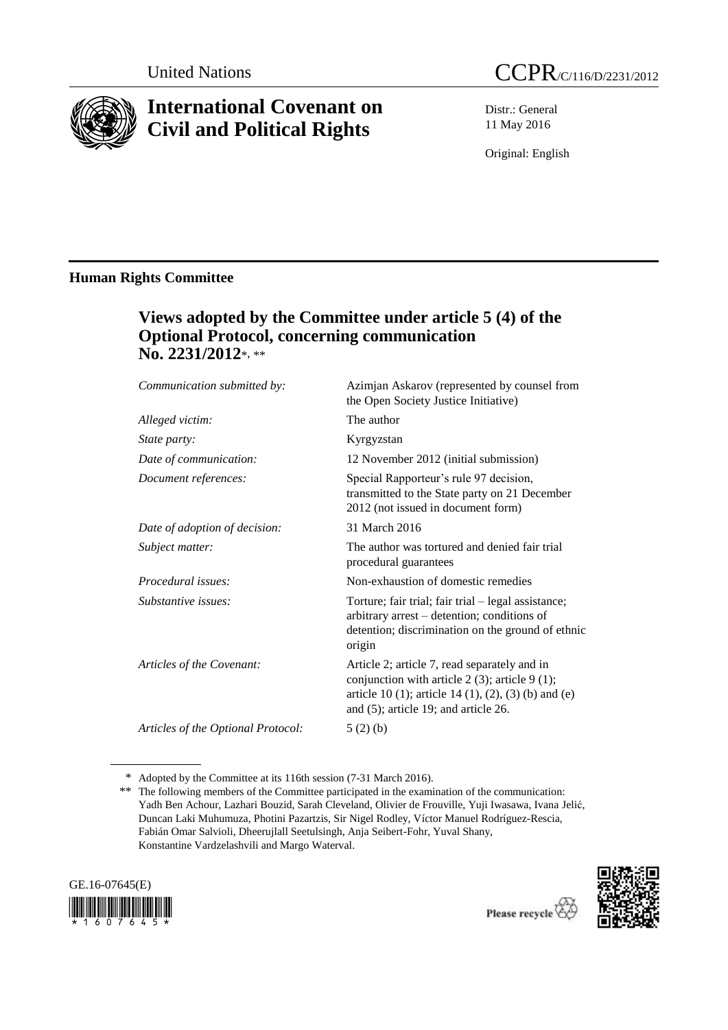

# **International Covenant on Civil and Political Rights**

Distr.: General 11 May 2016

Original: English

# **Human Rights Committee**

# **Views adopted by the Committee under article 5 (4) of the Optional Protocol, concerning communication No. 2231/2012**\*, \*\*

| Communication submitted by:        | Azimjan Askarov (represented by counsel from<br>the Open Society Justice Initiative)                                                                                                                  |
|------------------------------------|-------------------------------------------------------------------------------------------------------------------------------------------------------------------------------------------------------|
| Alleged victim:                    | The author                                                                                                                                                                                            |
| State party:                       | Kyrgyzstan                                                                                                                                                                                            |
| Date of communication:             | 12 November 2012 (initial submission)                                                                                                                                                                 |
| Document references:               | Special Rapporteur's rule 97 decision,<br>transmitted to the State party on 21 December<br>2012 (not issued in document form)                                                                         |
| Date of adoption of decision:      | 31 March 2016                                                                                                                                                                                         |
| Subject matter:                    | The author was tortured and denied fair trial<br>procedural guarantees                                                                                                                                |
| Procedural issues:                 | Non-exhaustion of domestic remedies                                                                                                                                                                   |
| Substantive issues:                | Torture; fair trial; fair trial – legal assistance;<br>arbitrary arrest – detention; conditions of<br>detention; discrimination on the ground of ethnic<br>origin                                     |
| Articles of the Covenant:          | Article 2; article 7, read separately and in<br>conjunction with article $2(3)$ ; article $9(1)$ ;<br>article 10 (1); article 14 (1), (2), (3) (b) and (e)<br>and $(5)$ ; article 19; and article 26. |
| Articles of the Optional Protocol: | 5(2)(b)                                                                                                                                                                                               |

<sup>\*</sup> Adopted by the Committee at its 116th session (7-31 March 2016).

<sup>\*\*</sup> The following members of the Committee participated in the examination of the communication: Yadh Ben Achour, Lazhari Bouzid, Sarah Cleveland, Olivier de Frouville, Yuji Iwasawa, Ivana Jelić, Duncan Laki Muhumuza, Photini Pazartzis, Sir Nigel Rodley, Víctor Manuel Rodríguez-Rescia, Fabián Omar Salvioli, Dheerujlall Seetulsingh, Anja Seibert-Fohr, Yuval Shany, Konstantine Vardzelashvili and Margo Waterval.



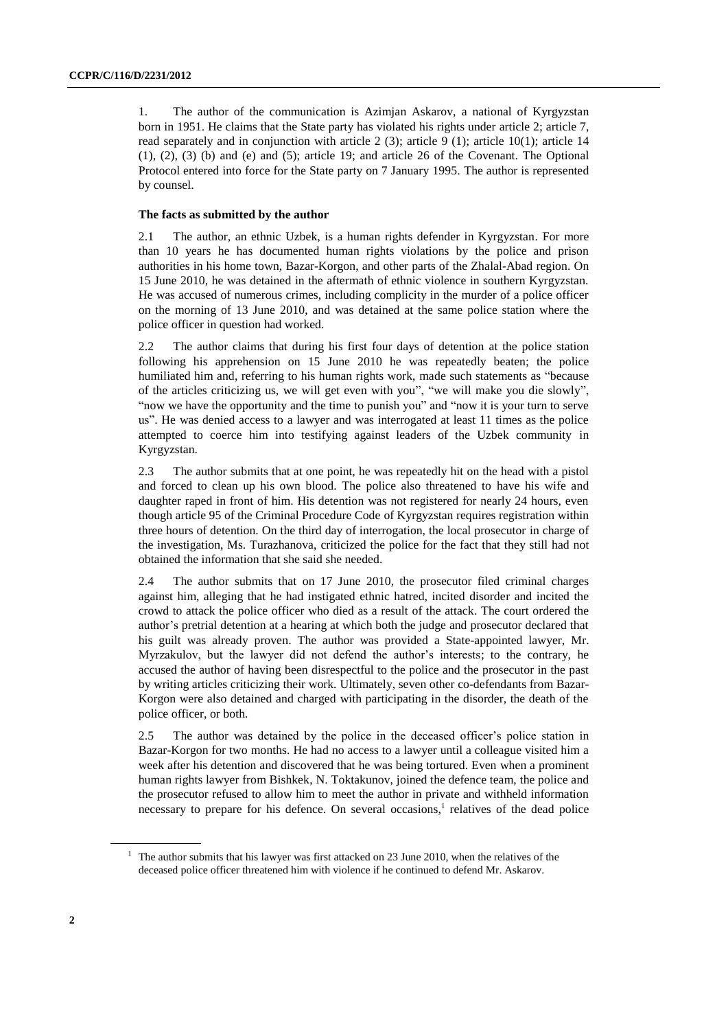1. The author of the communication is Azimjan Askarov, a national of Kyrgyzstan born in 1951. He claims that the State party has violated his rights under article 2; article 7, read separately and in conjunction with article 2 (3); article 9 (1); article 10(1); article 14  $(1)$ ,  $(2)$ ,  $(3)$   $(b)$  and  $(e)$  and  $(5)$ ; article 19; and article 26 of the Covenant. The Optional Protocol entered into force for the State party on 7 January 1995. The author is represented by counsel.

## **The facts as submitted by the author**

2.1 The author, an ethnic Uzbek, is a human rights defender in Kyrgyzstan. For more than 10 years he has documented human rights violations by the police and prison authorities in his home town, Bazar-Korgon, and other parts of the Zhalal-Abad region. On 15 June 2010, he was detained in the aftermath of ethnic violence in southern Kyrgyzstan. He was accused of numerous crimes, including complicity in the murder of a police officer on the morning of 13 June 2010, and was detained at the same police station where the police officer in question had worked.

2.2 The author claims that during his first four days of detention at the police station following his apprehension on 15 June 2010 he was repeatedly beaten; the police humiliated him and, referring to his human rights work, made such statements as "because of the articles criticizing us, we will get even with you", "we will make you die slowly", "now we have the opportunity and the time to punish you" and "now it is your turn to serve us". He was denied access to a lawyer and was interrogated at least 11 times as the police attempted to coerce him into testifying against leaders of the Uzbek community in Kyrgyzstan.

2.3 The author submits that at one point, he was repeatedly hit on the head with a pistol and forced to clean up his own blood. The police also threatened to have his wife and daughter raped in front of him. His detention was not registered for nearly 24 hours, even though article 95 of the Criminal Procedure Code of Kyrgyzstan requires registration within three hours of detention. On the third day of interrogation, the local prosecutor in charge of the investigation, Ms. Turazhanova, criticized the police for the fact that they still had not obtained the information that she said she needed.

2.4 The author submits that on 17 June 2010, the prosecutor filed criminal charges against him, alleging that he had instigated ethnic hatred, incited disorder and incited the crowd to attack the police officer who died as a result of the attack. The court ordered the author's pretrial detention at a hearing at which both the judge and prosecutor declared that his guilt was already proven. The author was provided a State-appointed lawyer, Mr. Myrzakulov, but the lawyer did not defend the author's interests; to the contrary, he accused the author of having been disrespectful to the police and the prosecutor in the past by writing articles criticizing their work. Ultimately, seven other co-defendants from Bazar-Korgon were also detained and charged with participating in the disorder, the death of the police officer, or both.

2.5 The author was detained by the police in the deceased officer's police station in Bazar-Korgon for two months. He had no access to a lawyer until a colleague visited him a week after his detention and discovered that he was being tortured. Even when a prominent human rights lawyer from Bishkek, N. Toktakunov, joined the defence team, the police and the prosecutor refused to allow him to meet the author in private and withheld information necessary to prepare for his defence. On several occasions,<sup>1</sup> relatives of the dead police

<sup>&</sup>lt;sup>1</sup> The author submits that his lawyer was first attacked on 23 June 2010, when the relatives of the deceased police officer threatened him with violence if he continued to defend Mr. Askarov.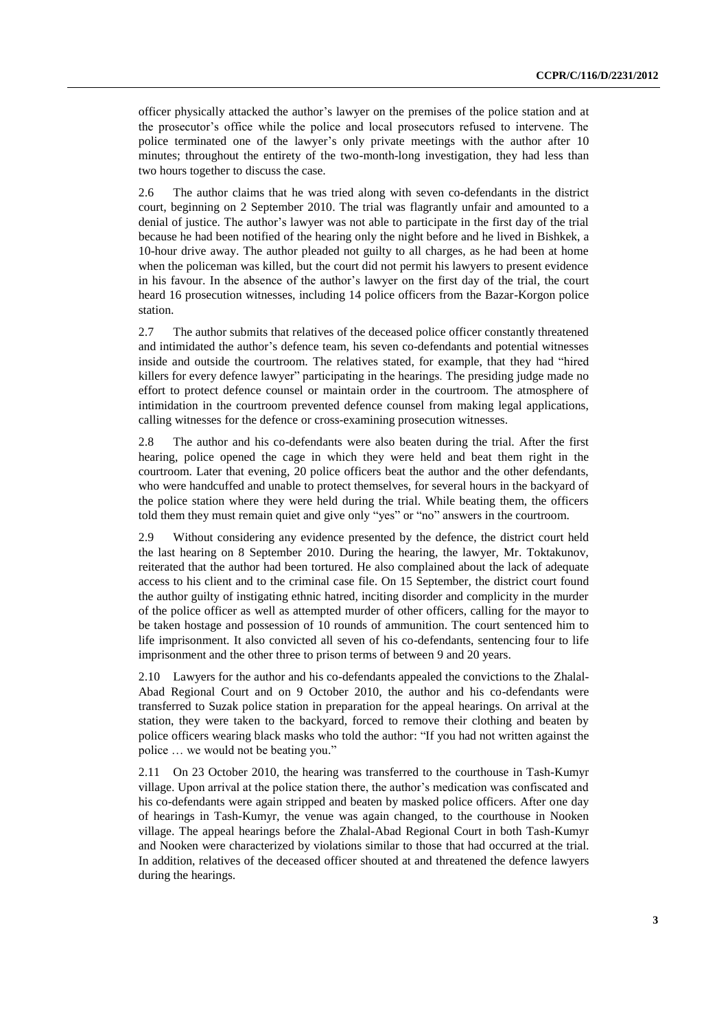officer physically attacked the author's lawyer on the premises of the police station and at the prosecutor's office while the police and local prosecutors refused to intervene. The police terminated one of the lawyer's only private meetings with the author after 10 minutes; throughout the entirety of the two-month-long investigation, they had less than two hours together to discuss the case.

2.6 The author claims that he was tried along with seven co-defendants in the district court, beginning on 2 September 2010. The trial was flagrantly unfair and amounted to a denial of justice. The author's lawyer was not able to participate in the first day of the trial because he had been notified of the hearing only the night before and he lived in Bishkek, a 10-hour drive away. The author pleaded not guilty to all charges, as he had been at home when the policeman was killed, but the court did not permit his lawyers to present evidence in his favour. In the absence of the author's lawyer on the first day of the trial, the court heard 16 prosecution witnesses, including 14 police officers from the Bazar-Korgon police station.

2.7 The author submits that relatives of the deceased police officer constantly threatened and intimidated the author's defence team, his seven co-defendants and potential witnesses inside and outside the courtroom. The relatives stated, for example, that they had "hired killers for every defence lawyer" participating in the hearings. The presiding judge made no effort to protect defence counsel or maintain order in the courtroom. The atmosphere of intimidation in the courtroom prevented defence counsel from making legal applications, calling witnesses for the defence or cross-examining prosecution witnesses.

2.8 The author and his co-defendants were also beaten during the trial. After the first hearing, police opened the cage in which they were held and beat them right in the courtroom. Later that evening, 20 police officers beat the author and the other defendants, who were handcuffed and unable to protect themselves, for several hours in the backyard of the police station where they were held during the trial. While beating them, the officers told them they must remain quiet and give only "yes" or "no" answers in the courtroom.

2.9 Without considering any evidence presented by the defence, the district court held the last hearing on 8 September 2010. During the hearing, the lawyer, Mr. Toktakunov, reiterated that the author had been tortured. He also complained about the lack of adequate access to his client and to the criminal case file. On 15 September, the district court found the author guilty of instigating ethnic hatred, inciting disorder and complicity in the murder of the police officer as well as attempted murder of other officers, calling for the mayor to be taken hostage and possession of 10 rounds of ammunition. The court sentenced him to life imprisonment. It also convicted all seven of his co-defendants, sentencing four to life imprisonment and the other three to prison terms of between 9 and 20 years.

2.10 Lawyers for the author and his co-defendants appealed the convictions to the Zhalal-Abad Regional Court and on 9 October 2010, the author and his co-defendants were transferred to Suzak police station in preparation for the appeal hearings. On arrival at the station, they were taken to the backyard, forced to remove their clothing and beaten by police officers wearing black masks who told the author: "If you had not written against the police … we would not be beating you."

2.11 On 23 October 2010, the hearing was transferred to the courthouse in Tash-Kumyr village. Upon arrival at the police station there, the author's medication was confiscated and his co-defendants were again stripped and beaten by masked police officers. After one day of hearings in Tash-Kumyr, the venue was again changed, to the courthouse in Nooken village. The appeal hearings before the Zhalal-Abad Regional Court in both Tash-Kumyr and Nooken were characterized by violations similar to those that had occurred at the trial. In addition, relatives of the deceased officer shouted at and threatened the defence lawyers during the hearings.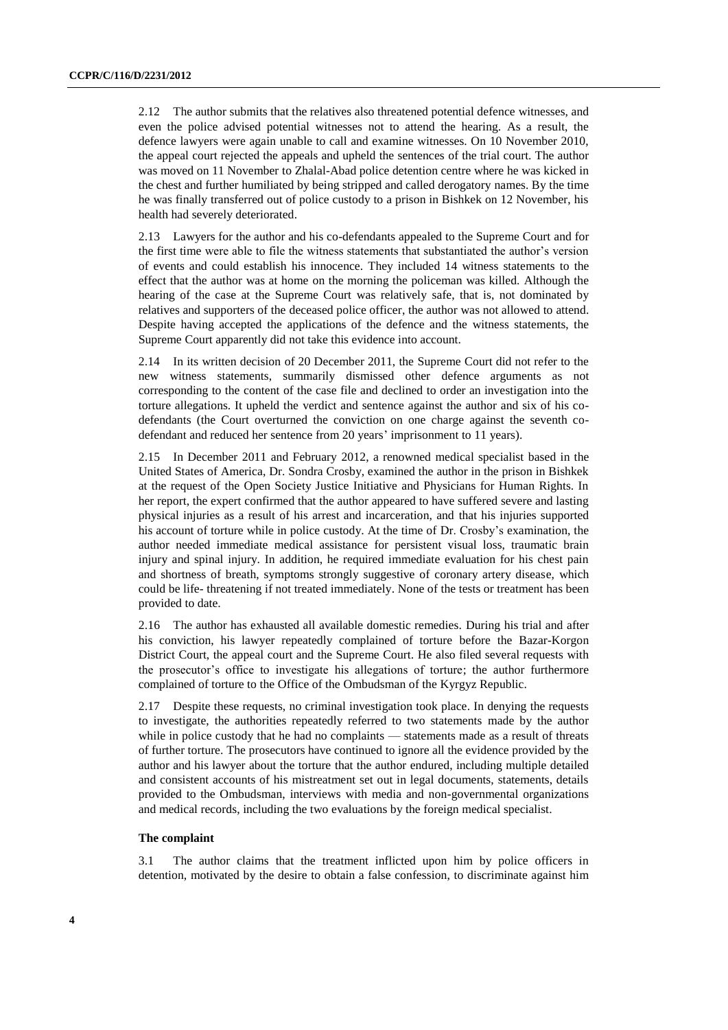2.12 The author submits that the relatives also threatened potential defence witnesses, and even the police advised potential witnesses not to attend the hearing. As a result, the defence lawyers were again unable to call and examine witnesses. On 10 November 2010, the appeal court rejected the appeals and upheld the sentences of the trial court. The author was moved on 11 November to Zhalal-Abad police detention centre where he was kicked in the chest and further humiliated by being stripped and called derogatory names. By the time he was finally transferred out of police custody to a prison in Bishkek on 12 November, his health had severely deteriorated.

2.13 Lawyers for the author and his co-defendants appealed to the Supreme Court and for the first time were able to file the witness statements that substantiated the author's version of events and could establish his innocence. They included 14 witness statements to the effect that the author was at home on the morning the policeman was killed. Although the hearing of the case at the Supreme Court was relatively safe, that is, not dominated by relatives and supporters of the deceased police officer, the author was not allowed to attend. Despite having accepted the applications of the defence and the witness statements, the Supreme Court apparently did not take this evidence into account.

2.14 In its written decision of 20 December 2011, the Supreme Court did not refer to the new witness statements, summarily dismissed other defence arguments as not corresponding to the content of the case file and declined to order an investigation into the torture allegations. It upheld the verdict and sentence against the author and six of his codefendants (the Court overturned the conviction on one charge against the seventh codefendant and reduced her sentence from 20 years' imprisonment to 11 years).

2.15 In December 2011 and February 2012, a renowned medical specialist based in the United States of America, Dr. Sondra Crosby, examined the author in the prison in Bishkek at the request of the Open Society Justice Initiative and Physicians for Human Rights. In her report, the expert confirmed that the author appeared to have suffered severe and lasting physical injuries as a result of his arrest and incarceration, and that his injuries supported his account of torture while in police custody. At the time of Dr. Crosby's examination, the author needed immediate medical assistance for persistent visual loss, traumatic brain injury and spinal injury. In addition, he required immediate evaluation for his chest pain and shortness of breath, symptoms strongly suggestive of coronary artery disease, which could be life- threatening if not treated immediately. None of the tests or treatment has been provided to date.

2.16 The author has exhausted all available domestic remedies. During his trial and after his conviction, his lawyer repeatedly complained of torture before the Bazar-Korgon District Court, the appeal court and the Supreme Court. He also filed several requests with the prosecutor's office to investigate his allegations of torture; the author furthermore complained of torture to the Office of the Ombudsman of the Kyrgyz Republic.

2.17 Despite these requests, no criminal investigation took place. In denying the requests to investigate, the authorities repeatedly referred to two statements made by the author while in police custody that he had no complaints — statements made as a result of threats of further torture. The prosecutors have continued to ignore all the evidence provided by the author and his lawyer about the torture that the author endured, including multiple detailed and consistent accounts of his mistreatment set out in legal documents, statements, details provided to the Ombudsman, interviews with media and non-governmental organizations and medical records, including the two evaluations by the foreign medical specialist.

#### **The complaint**

3.1 The author claims that the treatment inflicted upon him by police officers in detention, motivated by the desire to obtain a false confession, to discriminate against him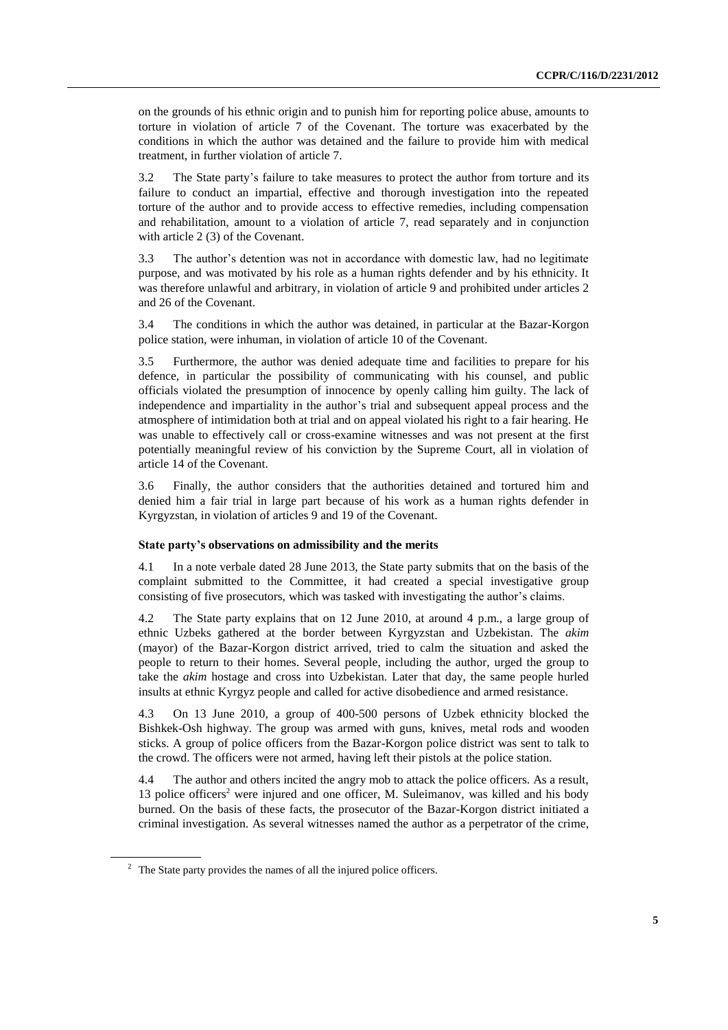on the grounds of his ethnic origin and to punish him for reporting police abuse, amounts to torture in violation of article 7 of the Covenant. The torture was exacerbated by the conditions in which the author was detained and the failure to provide him with medical treatment, in further violation of article 7.

3.2 The State party's failure to take measures to protect the author from torture and its failure to conduct an impartial, effective and thorough investigation into the repeated torture of the author and to provide access to effective remedies, including compensation and rehabilitation, amount to a violation of article 7, read separately and in conjunction with article 2 (3) of the Covenant.

3.3 The author's detention was not in accordance with domestic law, had no legitimate purpose, and was motivated by his role as a human rights defender and by his ethnicity. It was therefore unlawful and arbitrary, in violation of article 9 and prohibited under articles 2 and 26 of the Covenant.

3.4 The conditions in which the author was detained, in particular at the Bazar-Korgon police station, were inhuman, in violation of article 10 of the Covenant.

3.5 Furthermore, the author was denied adequate time and facilities to prepare for his defence, in particular the possibility of communicating with his counsel, and public officials violated the presumption of innocence by openly calling him guilty. The lack of independence and impartiality in the author's trial and subsequent appeal process and the atmosphere of intimidation both at trial and on appeal violated his right to a fair hearing. He was unable to effectively call or cross-examine witnesses and was not present at the first potentially meaningful review of his conviction by the Supreme Court, all in violation of article 14 of the Covenant.

3.6 Finally, the author considers that the authorities detained and tortured him and denied him a fair trial in large part because of his work as a human rights defender in Kyrgyzstan, in violation of articles 9 and 19 of the Covenant.

#### **State party's observations on admissibility and the merits**

4.1 In a note verbale dated 28 June 2013, the State party submits that on the basis of the complaint submitted to the Committee, it had created a special investigative group consisting of five prosecutors, which was tasked with investigating the author's claims.

4.2 The State party explains that on 12 June 2010, at around 4 p.m., a large group of ethnic Uzbeks gathered at the border between Kyrgyzstan and Uzbekistan. The *akim* (mayor) of the Bazar-Korgon district arrived, tried to calm the situation and asked the people to return to their homes. Several people, including the author, urged the group to take the *akim* hostage and cross into Uzbekistan. Later that day, the same people hurled insults at ethnic Kyrgyz people and called for active disobedience and armed resistance.

4.3 On 13 June 2010, a group of 400-500 persons of Uzbek ethnicity blocked the Bishkek-Osh highway. The group was armed with guns, knives, metal rods and wooden sticks. A group of police officers from the Bazar-Korgon police district was sent to talk to the crowd. The officers were not armed, having left their pistols at the police station.

4.4 The author and others incited the angry mob to attack the police officers. As a result, 13 police officers<sup>2</sup> were injured and one officer, M. Suleimanov, was killed and his body burned. On the basis of these facts, the prosecutor of the Bazar-Korgon district initiated a criminal investigation. As several witnesses named the author as a perpetrator of the crime,

 $2\degree$  The State party provides the names of all the injured police officers.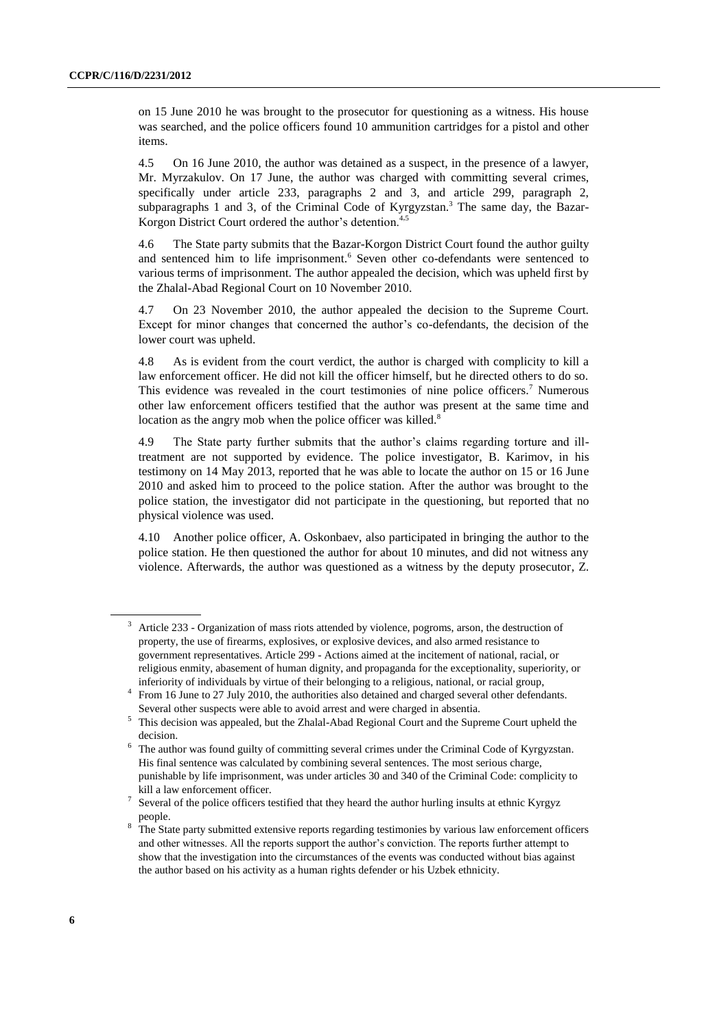on 15 June 2010 he was brought to the prosecutor for questioning as a witness. His house was searched, and the police officers found 10 ammunition cartridges for a pistol and other items.

4.5 On 16 June 2010, the author was detained as a suspect, in the presence of a lawyer, Mr. Myrzakulov. On 17 June, the author was charged with committing several crimes, specifically under article 233, paragraphs 2 and 3, and article 299, paragraph 2, subparagraphs 1 and 3, of the Criminal Code of Kyrgyzstan. <sup>3</sup> The same day, the Bazar-Korgon District Court ordered the author's detention.<sup>4,5</sup>

4.6 The State party submits that the Bazar-Korgon District Court found the author guilty and sentenced him to life imprisonment. <sup>6</sup> Seven other co-defendants were sentenced to various terms of imprisonment. The author appealed the decision, which was upheld first by the Zhalal-Abad Regional Court on 10 November 2010.

4.7 On 23 November 2010, the author appealed the decision to the Supreme Court. Except for minor changes that concerned the author's co-defendants, the decision of the lower court was upheld.

4.8 As is evident from the court verdict, the author is charged with complicity to kill a law enforcement officer. He did not kill the officer himself, but he directed others to do so. This evidence was revealed in the court testimonies of nine police officers.<sup>7</sup> Numerous other law enforcement officers testified that the author was present at the same time and location as the angry mob when the police officer was killed.<sup>8</sup>

4.9 The State party further submits that the author's claims regarding torture and illtreatment are not supported by evidence. The police investigator, B. Karimov, in his testimony on 14 May 2013, reported that he was able to locate the author on 15 or 16 June 2010 and asked him to proceed to the police station. After the author was brought to the police station, the investigator did not participate in the questioning, but reported that no physical violence was used.

4.10 Another police officer, A. Oskonbaev, also participated in bringing the author to the police station. He then questioned the author for about 10 minutes, and did not witness any violence. Afterwards, the author was questioned as a witness by the deputy prosecutor, Z.

<sup>3</sup> Article 233 - Organization of mass riots attended by violence, pogroms, arson, the destruction of property, the use of firearms, explosives, or explosive devices, and also armed resistance to government representatives. Article 299 - Actions aimed at the incitement of national, racial, or religious enmity, abasement of human dignity, and propaganda for the exceptionality, superiority, or inferiority of individuals by virtue of their belonging to a religious, national, or racial group,

<sup>4</sup> From 16 June to 27 July 2010, the authorities also detained and charged several other defendants. Several other suspects were able to avoid arrest and were charged in absentia.

<sup>5</sup> This decision was appealed, but the Zhalal-Abad Regional Court and the Supreme Court upheld the decision.

<sup>6</sup> The author was found guilty of committing several crimes under the Criminal Code of Kyrgyzstan. His final sentence was calculated by combining several sentences. The most serious charge, punishable by life imprisonment, was under articles 30 and 340 of the Criminal Code: complicity to kill a law enforcement officer.

<sup>7</sup> Several of the police officers testified that they heard the author hurling insults at ethnic Kyrgyz people.

The State party submitted extensive reports regarding testimonies by various law enforcement officers and other witnesses. All the reports support the author's conviction. The reports further attempt to show that the investigation into the circumstances of the events was conducted without bias against the author based on his activity as a human rights defender or his Uzbek ethnicity.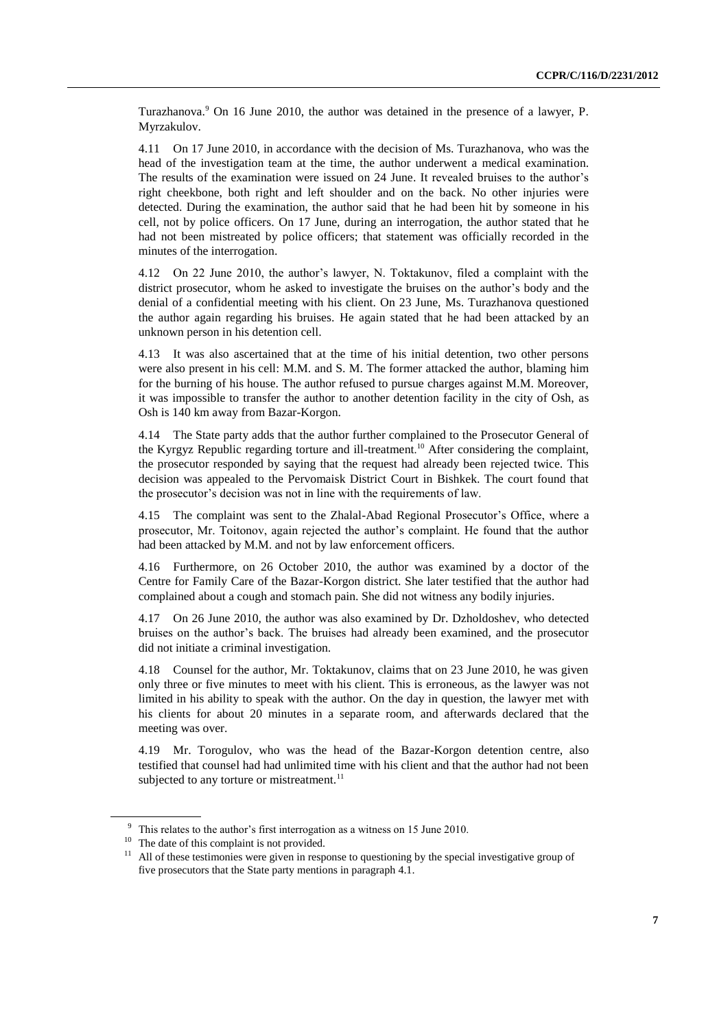Turazhanova. <sup>9</sup> On 16 June 2010, the author was detained in the presence of a lawyer, P. Myrzakulov.

4.11 On 17 June 2010, in accordance with the decision of Ms. Turazhanova, who was the head of the investigation team at the time, the author underwent a medical examination. The results of the examination were issued on 24 June. It revealed bruises to the author's right cheekbone, both right and left shoulder and on the back. No other injuries were detected. During the examination, the author said that he had been hit by someone in his cell, not by police officers. On 17 June, during an interrogation, the author stated that he had not been mistreated by police officers; that statement was officially recorded in the minutes of the interrogation.

4.12 On 22 June 2010, the author's lawyer, N. Toktakunov, filed a complaint with the district prosecutor, whom he asked to investigate the bruises on the author's body and the denial of a confidential meeting with his client. On 23 June, Ms. Turazhanova questioned the author again regarding his bruises. He again stated that he had been attacked by an unknown person in his detention cell.

4.13 It was also ascertained that at the time of his initial detention, two other persons were also present in his cell: M.M. and S. M. The former attacked the author, blaming him for the burning of his house. The author refused to pursue charges against M.M. Moreover, it was impossible to transfer the author to another detention facility in the city of Osh, as Osh is 140 km away from Bazar-Korgon.

4.14 The State party adds that the author further complained to the Prosecutor General of the Kyrgyz Republic regarding torture and ill-treatment.<sup>10</sup> After considering the complaint, the prosecutor responded by saying that the request had already been rejected twice. This decision was appealed to the Pervomaisk District Court in Bishkek. The court found that the prosecutor's decision was not in line with the requirements of law.

4.15 The complaint was sent to the Zhalal-Abad Regional Prosecutor's Office, where a prosecutor, Mr. Toitonov, again rejected the author's complaint. He found that the author had been attacked by M.M. and not by law enforcement officers.

4.16 Furthermore, on 26 October 2010, the author was examined by a doctor of the Centre for Family Care of the Bazar-Korgon district. She later testified that the author had complained about a cough and stomach pain. She did not witness any bodily injuries.

4.17 On 26 June 2010, the author was also examined by Dr. Dzholdoshev, who detected bruises on the author's back. The bruises had already been examined, and the prosecutor did not initiate a criminal investigation.

4.18 Counsel for the author, Mr. Toktakunov, claims that on 23 June 2010, he was given only three or five minutes to meet with his client. This is erroneous, as the lawyer was not limited in his ability to speak with the author. On the day in question, the lawyer met with his clients for about 20 minutes in a separate room, and afterwards declared that the meeting was over.

4.19 Mr. Torogulov, who was the head of the Bazar-Korgon detention centre, also testified that counsel had had unlimited time with his client and that the author had not been subjected to any torture or mistreatment.<sup>11</sup>

 $9$  This relates to the author's first interrogation as a witness on 15 June 2010.

<sup>&</sup>lt;sup>10</sup> The date of this complaint is not provided.

<sup>&</sup>lt;sup>11</sup> All of these testimonies were given in response to questioning by the special investigative group of five prosecutors that the State party mentions in paragraph 4.1.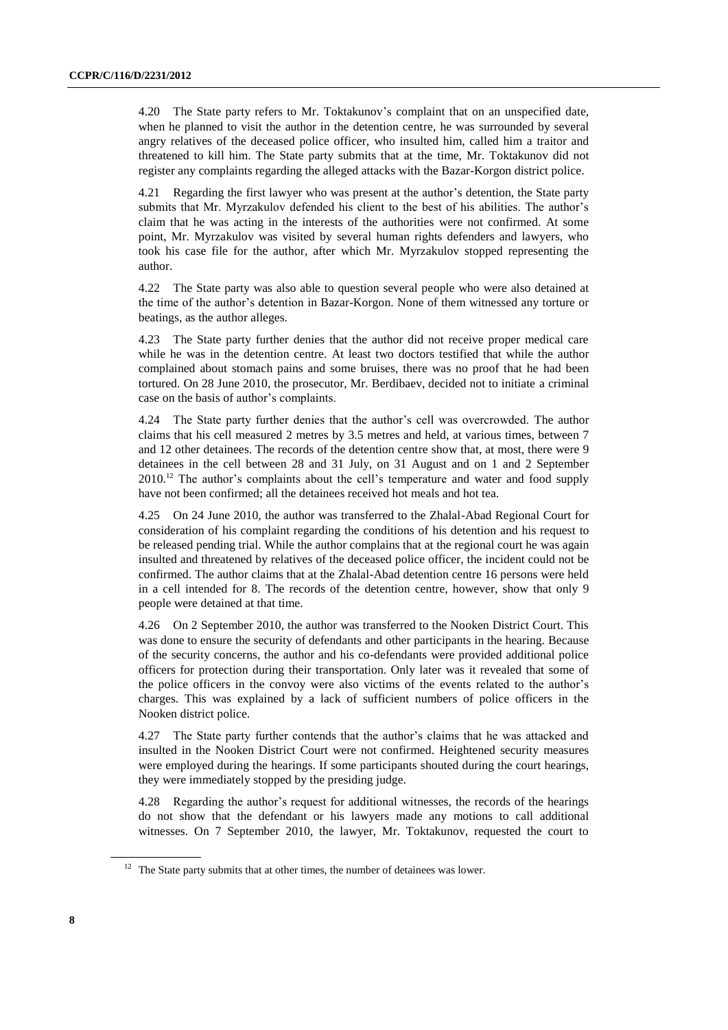4.20 The State party refers to Mr. Toktakunov's complaint that on an unspecified date, when he planned to visit the author in the detention centre, he was surrounded by several angry relatives of the deceased police officer, who insulted him, called him a traitor and threatened to kill him. The State party submits that at the time, Mr. Toktakunov did not register any complaints regarding the alleged attacks with the Bazar-Korgon district police.

4.21 Regarding the first lawyer who was present at the author's detention, the State party submits that Mr. Myrzakulov defended his client to the best of his abilities. The author's claim that he was acting in the interests of the authorities were not confirmed. At some point, Mr. Myrzakulov was visited by several human rights defenders and lawyers, who took his case file for the author, after which Mr. Myrzakulov stopped representing the author.

4.22 The State party was also able to question several people who were also detained at the time of the author's detention in Bazar-Korgon. None of them witnessed any torture or beatings, as the author alleges.

4.23 The State party further denies that the author did not receive proper medical care while he was in the detention centre. At least two doctors testified that while the author complained about stomach pains and some bruises, there was no proof that he had been tortured. On 28 June 2010, the prosecutor, Mr. Berdibaev, decided not to initiate a criminal case on the basis of author's complaints.

4.24 The State party further denies that the author's cell was overcrowded. The author claims that his cell measured 2 metres by 3.5 metres and held, at various times, between 7 and 12 other detainees. The records of the detention centre show that, at most, there were 9 detainees in the cell between 28 and 31 July, on 31 August and on 1 and 2 September 2010.<sup>12</sup> The author's complaints about the cell's temperature and water and food supply have not been confirmed; all the detainees received hot meals and hot tea.

4.25 On 24 June 2010, the author was transferred to the Zhalal-Abad Regional Court for consideration of his complaint regarding the conditions of his detention and his request to be released pending trial. While the author complains that at the regional court he was again insulted and threatened by relatives of the deceased police officer, the incident could not be confirmed. The author claims that at the Zhalal-Abad detention centre 16 persons were held in a cell intended for 8. The records of the detention centre, however, show that only 9 people were detained at that time.

4.26 On 2 September 2010, the author was transferred to the Nooken District Court. This was done to ensure the security of defendants and other participants in the hearing. Because of the security concerns, the author and his co-defendants were provided additional police officers for protection during their transportation. Only later was it revealed that some of the police officers in the convoy were also victims of the events related to the author's charges. This was explained by a lack of sufficient numbers of police officers in the Nooken district police.

4.27 The State party further contends that the author's claims that he was attacked and insulted in the Nooken District Court were not confirmed. Heightened security measures were employed during the hearings. If some participants shouted during the court hearings, they were immediately stopped by the presiding judge.

4.28 Regarding the author's request for additional witnesses, the records of the hearings do not show that the defendant or his lawyers made any motions to call additional witnesses. On 7 September 2010, the lawyer, Mr. Toktakunov, requested the court to

 $12$  The State party submits that at other times, the number of detainees was lower.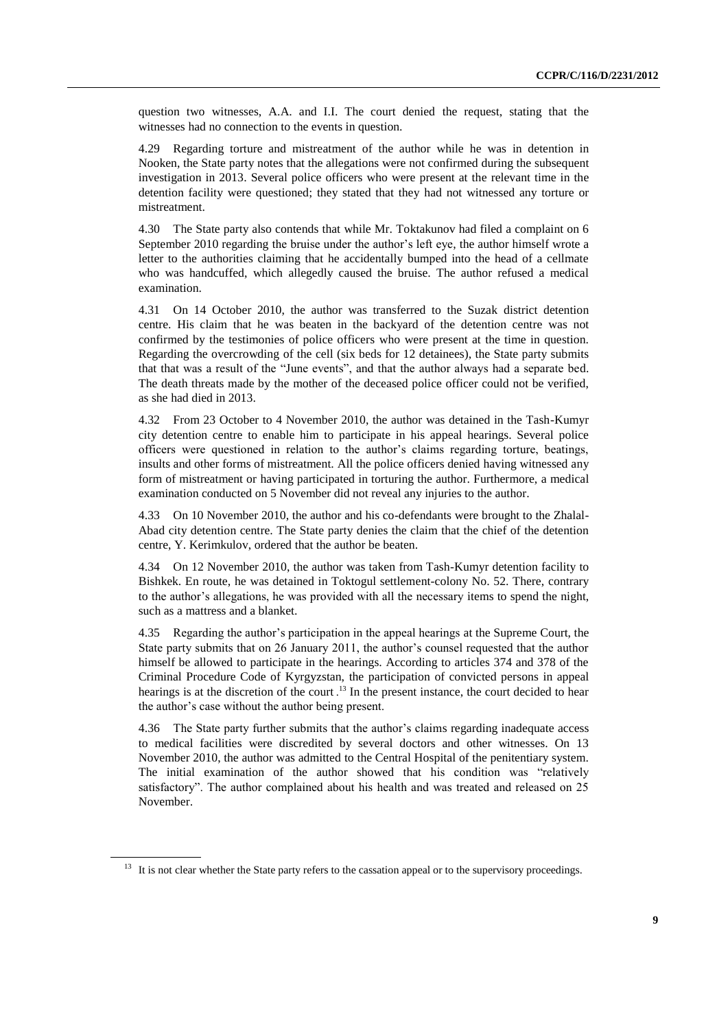question two witnesses, A.A. and I.I. The court denied the request, stating that the witnesses had no connection to the events in question.

4.29 Regarding torture and mistreatment of the author while he was in detention in Nooken, the State party notes that the allegations were not confirmed during the subsequent investigation in 2013. Several police officers who were present at the relevant time in the detention facility were questioned; they stated that they had not witnessed any torture or mistreatment.

4.30 The State party also contends that while Mr. Toktakunov had filed a complaint on 6 September 2010 regarding the bruise under the author's left eye, the author himself wrote a letter to the authorities claiming that he accidentally bumped into the head of a cellmate who was handcuffed, which allegedly caused the bruise. The author refused a medical examination.

4.31 On 14 October 2010, the author was transferred to the Suzak district detention centre. His claim that he was beaten in the backyard of the detention centre was not confirmed by the testimonies of police officers who were present at the time in question. Regarding the overcrowding of the cell (six beds for 12 detainees), the State party submits that that was a result of the "June events", and that the author always had a separate bed. The death threats made by the mother of the deceased police officer could not be verified, as she had died in 2013.

4.32 From 23 October to 4 November 2010, the author was detained in the Tash-Kumyr city detention centre to enable him to participate in his appeal hearings. Several police officers were questioned in relation to the author's claims regarding torture, beatings, insults and other forms of mistreatment. All the police officers denied having witnessed any form of mistreatment or having participated in torturing the author. Furthermore, a medical examination conducted on 5 November did not reveal any injuries to the author.

4.33 On 10 November 2010, the author and his co-defendants were brought to the Zhalal-Abad city detention centre. The State party denies the claim that the chief of the detention centre, Y. Kerimkulov, ordered that the author be beaten.

4.34 On 12 November 2010, the author was taken from Tash-Kumyr detention facility to Bishkek. En route, he was detained in Toktogul settlement-colony No. 52. There, contrary to the author's allegations, he was provided with all the necessary items to spend the night, such as a mattress and a blanket.

4.35 Regarding the author's participation in the appeal hearings at the Supreme Court, the State party submits that on 26 January 2011, the author's counsel requested that the author himself be allowed to participate in the hearings. According to articles 374 and 378 of the Criminal Procedure Code of Kyrgyzstan, the participation of convicted persons in appeal hearings is at the discretion of the court.<sup>13</sup> In the present instance, the court decided to hear the author's case without the author being present.

4.36 The State party further submits that the author's claims regarding inadequate access to medical facilities were discredited by several doctors and other witnesses. On 13 November 2010, the author was admitted to the Central Hospital of the penitentiary system. The initial examination of the author showed that his condition was "relatively satisfactory". The author complained about his health and was treated and released on 25 November.

<sup>&</sup>lt;sup>13</sup> It is not clear whether the State party refers to the cassation appeal or to the supervisory proceedings.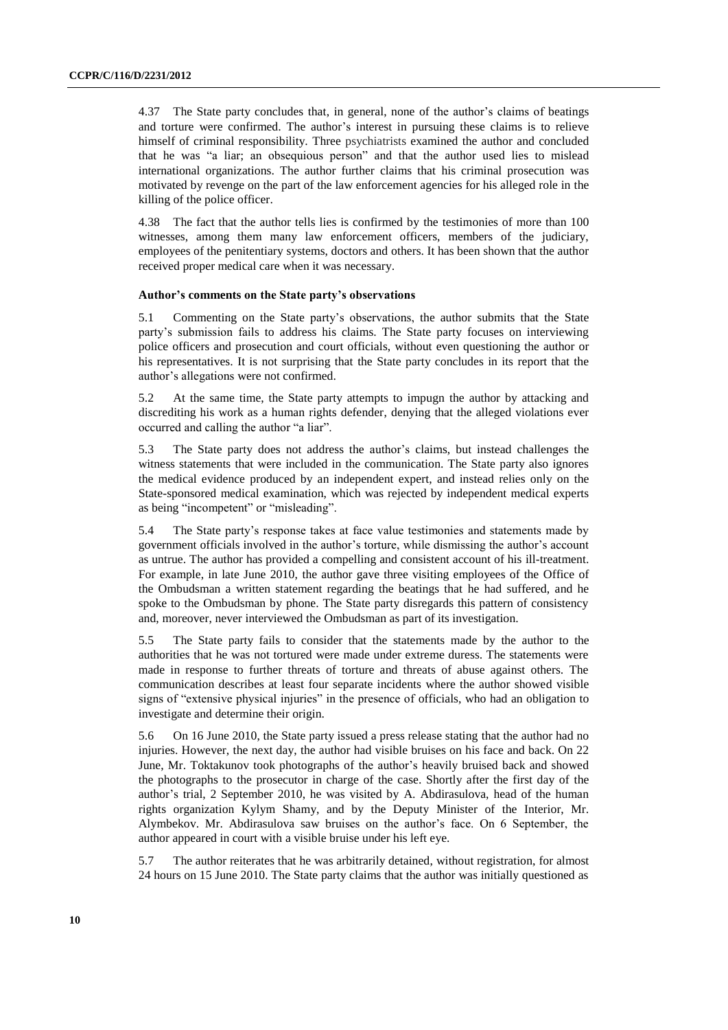4.37 The State party concludes that, in general, none of the author's claims of beatings and torture were confirmed. The author's interest in pursuing these claims is to relieve himself of criminal responsibility. Three psychiatrists examined the author and concluded that he was "a liar; an obsequious person" and that the author used lies to mislead international organizations. The author further claims that his criminal prosecution was motivated by revenge on the part of the law enforcement agencies for his alleged role in the killing of the police officer.

4.38 The fact that the author tells lies is confirmed by the testimonies of more than 100 witnesses, among them many law enforcement officers, members of the judiciary, employees of the penitentiary systems, doctors and others. It has been shown that the author received proper medical care when it was necessary.

#### **Author's comments on the State party's observations**

5.1 Commenting on the State party's observations, the author submits that the State party's submission fails to address his claims. The State party focuses on interviewing police officers and prosecution and court officials, without even questioning the author or his representatives. It is not surprising that the State party concludes in its report that the author's allegations were not confirmed.

5.2 At the same time, the State party attempts to impugn the author by attacking and discrediting his work as a human rights defender, denying that the alleged violations ever occurred and calling the author "a liar".

5.3 The State party does not address the author's claims, but instead challenges the witness statements that were included in the communication. The State party also ignores the medical evidence produced by an independent expert, and instead relies only on the State-sponsored medical examination, which was rejected by independent medical experts as being "incompetent" or "misleading".

5.4 The State party's response takes at face value testimonies and statements made by government officials involved in the author's torture, while dismissing the author's account as untrue. The author has provided a compelling and consistent account of his ill-treatment. For example, in late June 2010, the author gave three visiting employees of the Office of the Ombudsman a written statement regarding the beatings that he had suffered, and he spoke to the Ombudsman by phone. The State party disregards this pattern of consistency and, moreover, never interviewed the Ombudsman as part of its investigation.

5.5 The State party fails to consider that the statements made by the author to the authorities that he was not tortured were made under extreme duress. The statements were made in response to further threats of torture and threats of abuse against others. The communication describes at least four separate incidents where the author showed visible signs of "extensive physical injuries" in the presence of officials, who had an obligation to investigate and determine their origin.

5.6 On 16 June 2010, the State party issued a press release stating that the author had no injuries. However, the next day, the author had visible bruises on his face and back. On 22 June, Mr. Toktakunov took photographs of the author's heavily bruised back and showed the photographs to the prosecutor in charge of the case. Shortly after the first day of the author's trial, 2 September 2010, he was visited by A. Abdirasulova, head of the human rights organization Kylym Shamy, and by the Deputy Minister of the Interior, Mr. Alymbekov. Mr. Abdirasulova saw bruises on the author's face. On 6 September, the author appeared in court with a visible bruise under his left eye.

5.7 The author reiterates that he was arbitrarily detained, without registration, for almost 24 hours on 15 June 2010. The State party claims that the author was initially questioned as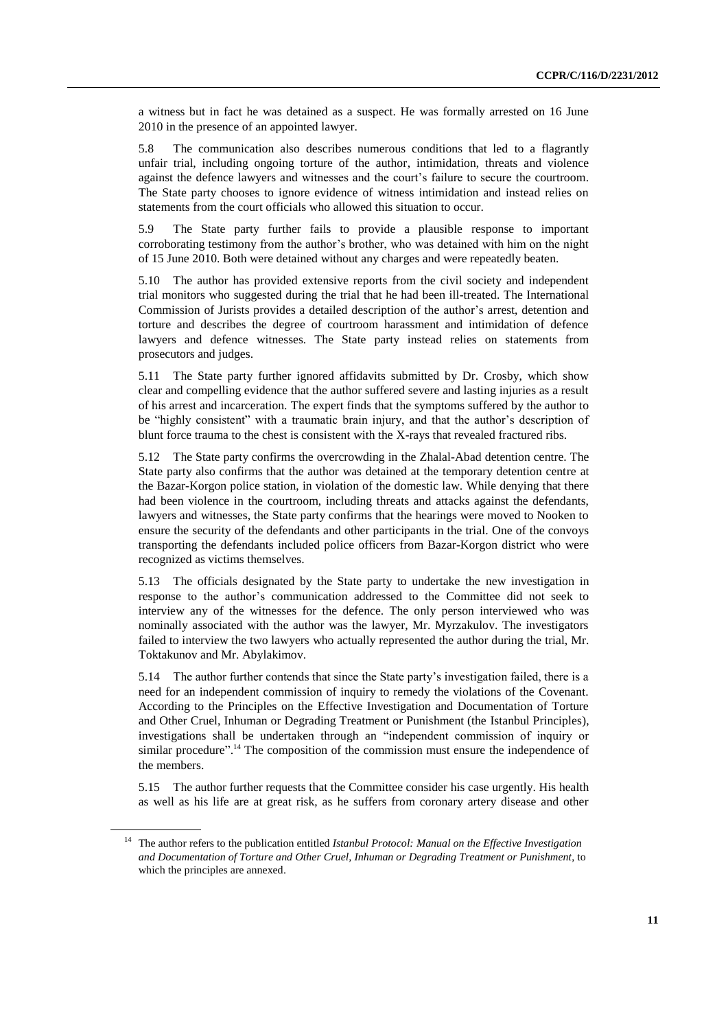a witness but in fact he was detained as a suspect. He was formally arrested on 16 June 2010 in the presence of an appointed lawyer.

5.8 The communication also describes numerous conditions that led to a flagrantly unfair trial, including ongoing torture of the author, intimidation, threats and violence against the defence lawyers and witnesses and the court's failure to secure the courtroom. The State party chooses to ignore evidence of witness intimidation and instead relies on statements from the court officials who allowed this situation to occur.

5.9 The State party further fails to provide a plausible response to important corroborating testimony from the author's brother, who was detained with him on the night of 15 June 2010. Both were detained without any charges and were repeatedly beaten.

5.10 The author has provided extensive reports from the civil society and independent trial monitors who suggested during the trial that he had been ill-treated. The International Commission of Jurists provides a detailed description of the author's arrest, detention and torture and describes the degree of courtroom harassment and intimidation of defence lawyers and defence witnesses. The State party instead relies on statements from prosecutors and judges.

5.11 The State party further ignored affidavits submitted by Dr. Crosby, which show clear and compelling evidence that the author suffered severe and lasting injuries as a result of his arrest and incarceration. The expert finds that the symptoms suffered by the author to be "highly consistent" with a traumatic brain injury, and that the author's description of blunt force trauma to the chest is consistent with the X-rays that revealed fractured ribs.

5.12 The State party confirms the overcrowding in the Zhalal-Abad detention centre. The State party also confirms that the author was detained at the temporary detention centre at the Bazar-Korgon police station, in violation of the domestic law. While denying that there had been violence in the courtroom, including threats and attacks against the defendants, lawyers and witnesses, the State party confirms that the hearings were moved to Nooken to ensure the security of the defendants and other participants in the trial. One of the convoys transporting the defendants included police officers from Bazar-Korgon district who were recognized as victims themselves.

5.13 The officials designated by the State party to undertake the new investigation in response to the author's communication addressed to the Committee did not seek to interview any of the witnesses for the defence. The only person interviewed who was nominally associated with the author was the lawyer, Mr. Myrzakulov. The investigators failed to interview the two lawyers who actually represented the author during the trial, Mr. Toktakunov and Mr. Abylakimov.

5.14 The author further contends that since the State party's investigation failed, there is a need for an independent commission of inquiry to remedy the violations of the Covenant. According to the Principles on the Effective Investigation and Documentation of Torture and Other Cruel, Inhuman or Degrading Treatment or Punishment (the Istanbul Principles), investigations shall be undertaken through an "independent commission of inquiry or similar procedure".<sup>14</sup> The composition of the commission must ensure the independence of the members.

5.15 The author further requests that the Committee consider his case urgently. His health as well as his life are at great risk, as he suffers from coronary artery disease and other

<sup>14</sup> The author refers to the publication entitled *Istanbul Protocol: Manual on the Effective Investigation and Documentation of Torture and Other Cruel, Inhuman or Degrading Treatment or Punishment*, to which the principles are annexed.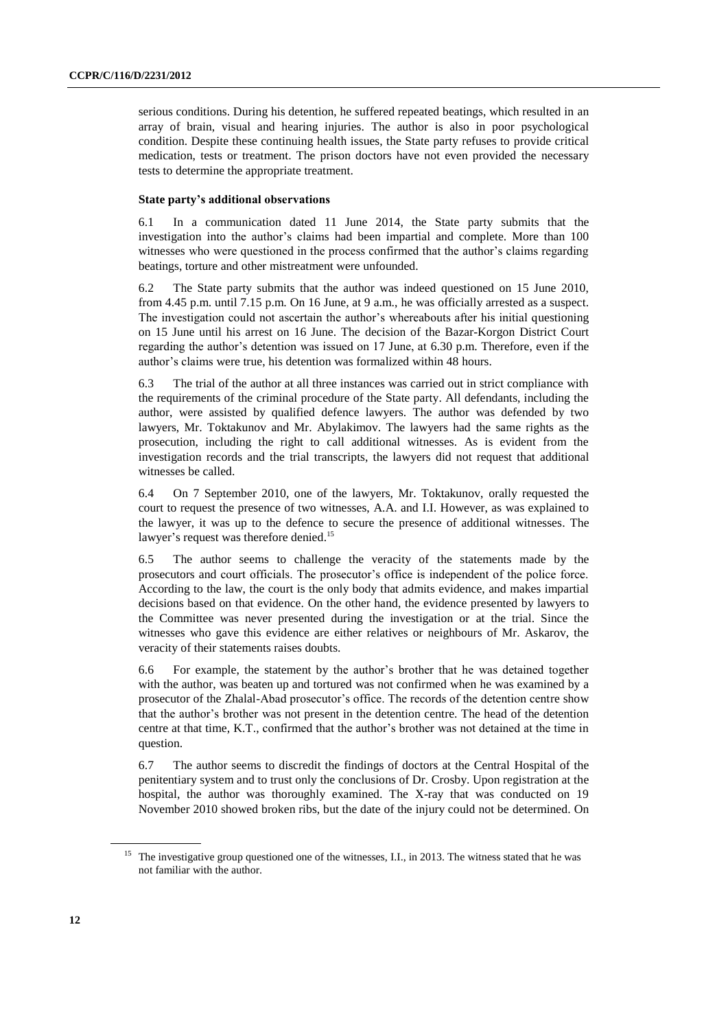serious conditions. During his detention, he suffered repeated beatings, which resulted in an array of brain, visual and hearing injuries. The author is also in poor psychological condition. Despite these continuing health issues, the State party refuses to provide critical medication, tests or treatment. The prison doctors have not even provided the necessary tests to determine the appropriate treatment.

### **State party's additional observations**

6.1 In a communication dated 11 June 2014, the State party submits that the investigation into the author's claims had been impartial and complete. More than 100 witnesses who were questioned in the process confirmed that the author's claims regarding beatings, torture and other mistreatment were unfounded.

6.2 The State party submits that the author was indeed questioned on 15 June 2010, from 4.45 p.m. until 7.15 p.m. On 16 June, at 9 a.m., he was officially arrested as a suspect. The investigation could not ascertain the author's whereabouts after his initial questioning on 15 June until his arrest on 16 June. The decision of the Bazar-Korgon District Court regarding the author's detention was issued on 17 June, at 6.30 p.m. Therefore, even if the author's claims were true, his detention was formalized within 48 hours.

6.3 The trial of the author at all three instances was carried out in strict compliance with the requirements of the criminal procedure of the State party. All defendants, including the author, were assisted by qualified defence lawyers. The author was defended by two lawyers, Mr. Toktakunov and Mr. Abylakimov. The lawyers had the same rights as the prosecution, including the right to call additional witnesses. As is evident from the investigation records and the trial transcripts, the lawyers did not request that additional witnesses be called.

6.4 On 7 September 2010, one of the lawyers, Mr. Toktakunov, orally requested the court to request the presence of two witnesses, A.A. and I.I. However, as was explained to the lawyer, it was up to the defence to secure the presence of additional witnesses. The lawyer's request was therefore denied.<sup>15</sup>

6.5 The author seems to challenge the veracity of the statements made by the prosecutors and court officials. The prosecutor's office is independent of the police force. According to the law, the court is the only body that admits evidence, and makes impartial decisions based on that evidence. On the other hand, the evidence presented by lawyers to the Committee was never presented during the investigation or at the trial. Since the witnesses who gave this evidence are either relatives or neighbours of Mr. Askarov, the veracity of their statements raises doubts.

6.6 For example, the statement by the author's brother that he was detained together with the author, was beaten up and tortured was not confirmed when he was examined by a prosecutor of the Zhalal-Abad prosecutor's office. The records of the detention centre show that the author's brother was not present in the detention centre. The head of the detention centre at that time, K.T., confirmed that the author's brother was not detained at the time in question.

6.7 The author seems to discredit the findings of doctors at the Central Hospital of the penitentiary system and to trust only the conclusions of Dr. Crosby. Upon registration at the hospital, the author was thoroughly examined. The X-ray that was conducted on 19 November 2010 showed broken ribs, but the date of the injury could not be determined. On

<sup>&</sup>lt;sup>15</sup> The investigative group questioned one of the witnesses, I.I., in 2013. The witness stated that he was not familiar with the author.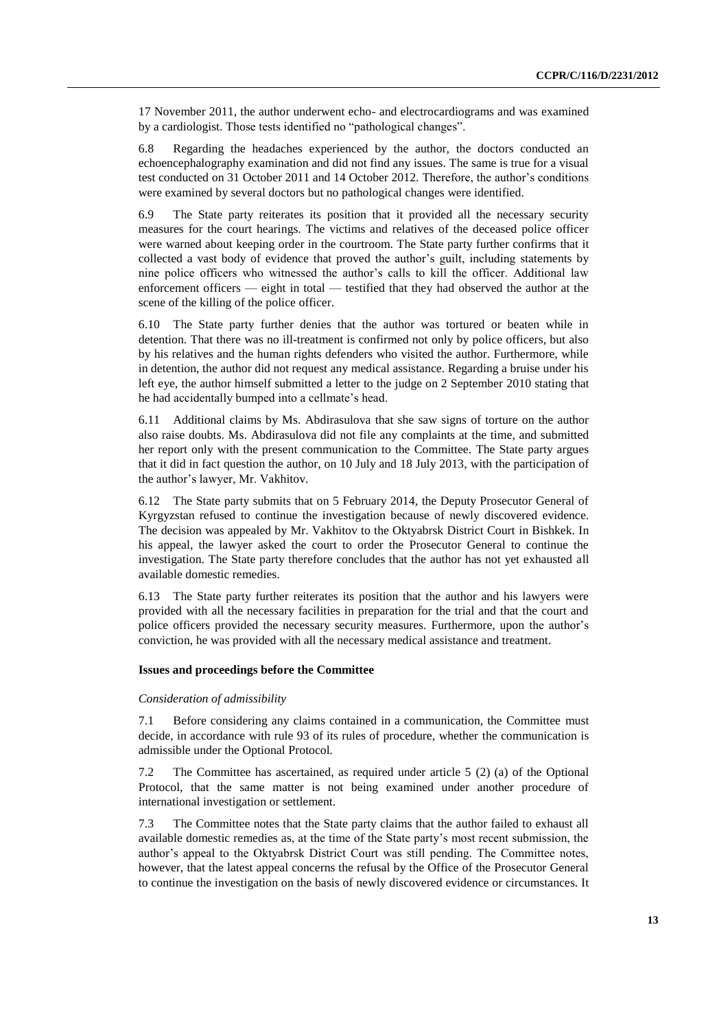17 November 2011, the author underwent echo- and electrocardiograms and was examined by a cardiologist. Those tests identified no "pathological changes".

6.8 Regarding the headaches experienced by the author, the doctors conducted an echoencephalography examination and did not find any issues. The same is true for a visual test conducted on 31 October 2011 and 14 October 2012. Therefore, the author's conditions were examined by several doctors but no pathological changes were identified.

6.9 The State party reiterates its position that it provided all the necessary security measures for the court hearings. The victims and relatives of the deceased police officer were warned about keeping order in the courtroom. The State party further confirms that it collected a vast body of evidence that proved the author's guilt, including statements by nine police officers who witnessed the author's calls to kill the officer. Additional law enforcement officers — eight in total — testified that they had observed the author at the scene of the killing of the police officer.

6.10 The State party further denies that the author was tortured or beaten while in detention. That there was no ill-treatment is confirmed not only by police officers, but also by his relatives and the human rights defenders who visited the author. Furthermore, while in detention, the author did not request any medical assistance. Regarding a bruise under his left eye, the author himself submitted a letter to the judge on 2 September 2010 stating that he had accidentally bumped into a cellmate's head.

6.11 Additional claims by Ms. Abdirasulova that she saw signs of torture on the author also raise doubts. Ms. Abdirasulova did not file any complaints at the time, and submitted her report only with the present communication to the Committee. The State party argues that it did in fact question the author, on 10 July and 18 July 2013, with the participation of the author's lawyer, Mr. Vakhitov.

6.12 The State party submits that on 5 February 2014, the Deputy Prosecutor General of Kyrgyzstan refused to continue the investigation because of newly discovered evidence. The decision was appealed by Mr. Vakhitov to the Oktyabrsk District Court in Bishkek. In his appeal, the lawyer asked the court to order the Prosecutor General to continue the investigation. The State party therefore concludes that the author has not yet exhausted all available domestic remedies.

6.13 The State party further reiterates its position that the author and his lawyers were provided with all the necessary facilities in preparation for the trial and that the court and police officers provided the necessary security measures. Furthermore, upon the author's conviction, he was provided with all the necessary medical assistance and treatment.

#### **Issues and proceedings before the Committee**

#### *Consideration of admissibility*

7.1 Before considering any claims contained in a communication, the Committee must decide, in accordance with rule 93 of its rules of procedure, whether the communication is admissible under the Optional Protocol.

7.2 The Committee has ascertained, as required under article 5 (2) (a) of the Optional Protocol, that the same matter is not being examined under another procedure of international investigation or settlement.

7.3 The Committee notes that the State party claims that the author failed to exhaust all available domestic remedies as, at the time of the State party's most recent submission, the author's appeal to the Oktyabrsk District Court was still pending. The Committee notes, however, that the latest appeal concerns the refusal by the Office of the Prosecutor General to continue the investigation on the basis of newly discovered evidence or circumstances. It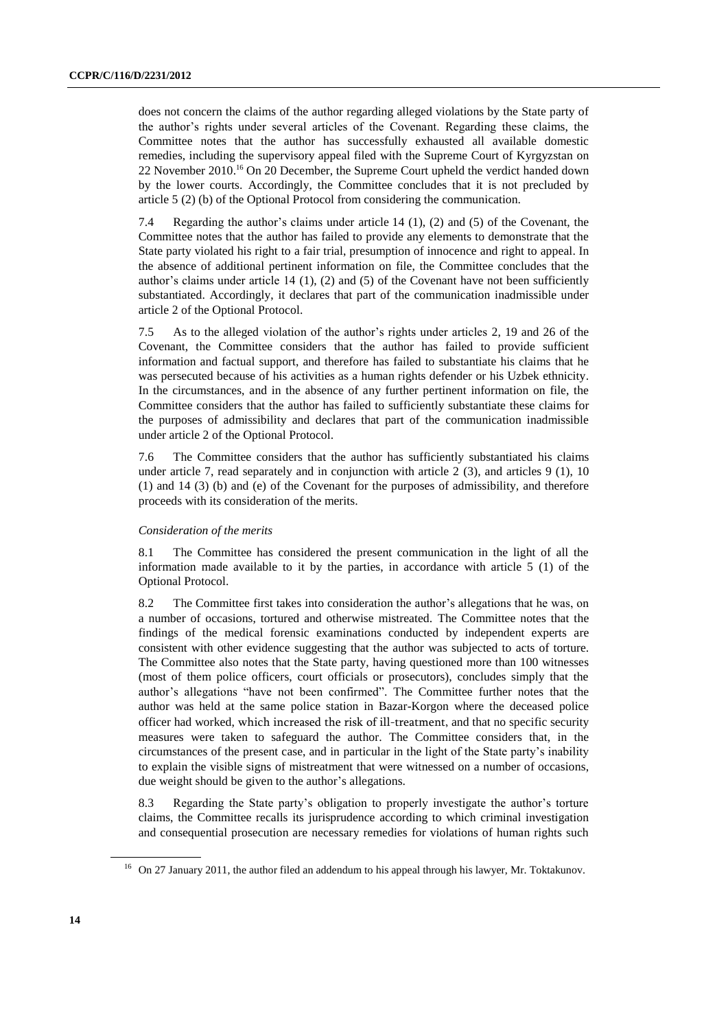does not concern the claims of the author regarding alleged violations by the State party of the author's rights under several articles of the Covenant. Regarding these claims, the Committee notes that the author has successfully exhausted all available domestic remedies, including the supervisory appeal filed with the Supreme Court of Kyrgyzstan on 22 November 2010. <sup>16</sup> On 20 December, the Supreme Court upheld the verdict handed down by the lower courts. Accordingly, the Committee concludes that it is not precluded by article 5 (2) (b) of the Optional Protocol from considering the communication.

7.4 Regarding the author's claims under article 14 (1), (2) and (5) of the Covenant, the Committee notes that the author has failed to provide any elements to demonstrate that the State party violated his right to a fair trial, presumption of innocence and right to appeal. In the absence of additional pertinent information on file, the Committee concludes that the author's claims under article 14  $(1)$ ,  $(2)$  and  $(5)$  of the Covenant have not been sufficiently substantiated. Accordingly, it declares that part of the communication inadmissible under article 2 of the Optional Protocol.

7.5 As to the alleged violation of the author's rights under articles 2, 19 and 26 of the Covenant, the Committee considers that the author has failed to provide sufficient information and factual support, and therefore has failed to substantiate his claims that he was persecuted because of his activities as a human rights defender or his Uzbek ethnicity. In the circumstances, and in the absence of any further pertinent information on file, the Committee considers that the author has failed to sufficiently substantiate these claims for the purposes of admissibility and declares that part of the communication inadmissible under article 2 of the Optional Protocol.

7.6 The Committee considers that the author has sufficiently substantiated his claims under article 7, read separately and in conjunction with article 2 (3), and articles 9 (1), 10 (1) and 14 (3) (b) and (e) of the Covenant for the purposes of admissibility, and therefore proceeds with its consideration of the merits.

### *Consideration of the merits*

8.1 The Committee has considered the present communication in the light of all the information made available to it by the parties, in accordance with article 5 (1) of the Optional Protocol.

8.2 The Committee first takes into consideration the author's allegations that he was, on a number of occasions, tortured and otherwise mistreated. The Committee notes that the findings of the medical forensic examinations conducted by independent experts are consistent with other evidence suggesting that the author was subjected to acts of torture. The Committee also notes that the State party, having questioned more than 100 witnesses (most of them police officers, court officials or prosecutors), concludes simply that the author's allegations "have not been confirmed". The Committee further notes that the author was held at the same police station in Bazar-Korgon where the deceased police officer had worked, which increased the risk of ill-treatment, and that no specific security measures were taken to safeguard the author. The Committee considers that, in the circumstances of the present case, and in particular in the light of the State party's inability to explain the visible signs of mistreatment that were witnessed on a number of occasions, due weight should be given to the author's allegations.

8.3 Regarding the State party's obligation to properly investigate the author's torture claims, the Committee recalls its jurisprudence according to which criminal investigation and consequential prosecution are necessary remedies for violations of human rights such

<sup>&</sup>lt;sup>16</sup> On 27 January 2011, the author filed an addendum to his appeal through his lawyer, Mr. Toktakunov.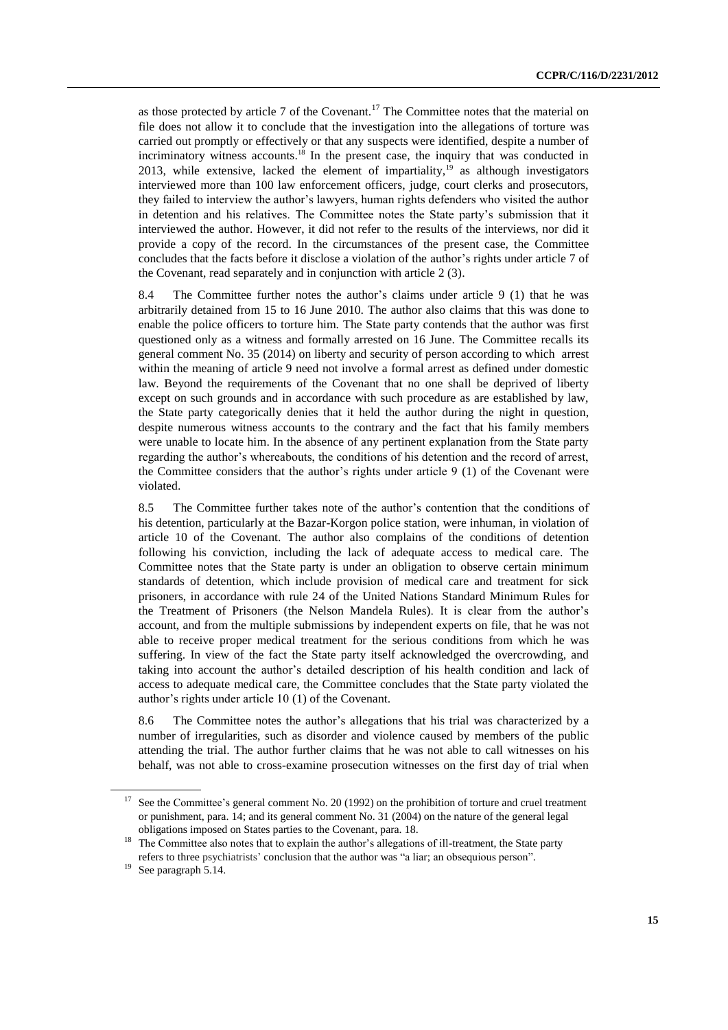as those protected by article 7 of the Covenant.<sup>17</sup> The Committee notes that the material on file does not allow it to conclude that the investigation into the allegations of torture was carried out promptly or effectively or that any suspects were identified, despite a number of incriminatory witness accounts.<sup>18</sup> In the present case, the inquiry that was conducted in 2013, while extensive, lacked the element of impartiality,  $\frac{19}{19}$  as although investigators interviewed more than 100 law enforcement officers, judge, court clerks and prosecutors, they failed to interview the author's lawyers, human rights defenders who visited the author in detention and his relatives. The Committee notes the State party's submission that it interviewed the author. However, it did not refer to the results of the interviews, nor did it provide a copy of the record. In the circumstances of the present case, the Committee concludes that the facts before it disclose a violation of the author's rights under article 7 of the Covenant, read separately and in conjunction with article 2 (3).

8.4 The Committee further notes the author's claims under article 9 (1) that he was arbitrarily detained from 15 to 16 June 2010. The author also claims that this was done to enable the police officers to torture him. The State party contends that the author was first questioned only as a witness and formally arrested on 16 June. The Committee recalls its general comment No. 35 (2014) on liberty and security of person according to which arrest within the meaning of article 9 need not involve a formal arrest as defined under domestic law. Beyond the requirements of the Covenant that no one shall be deprived of liberty except on such grounds and in accordance with such procedure as are established by law, the State party categorically denies that it held the author during the night in question, despite numerous witness accounts to the contrary and the fact that his family members were unable to locate him. In the absence of any pertinent explanation from the State party regarding the author's whereabouts, the conditions of his detention and the record of arrest, the Committee considers that the author's rights under article 9 (1) of the Covenant were violated.

8.5 The Committee further takes note of the author's contention that the conditions of his detention, particularly at the Bazar-Korgon police station, were inhuman, in violation of article 10 of the Covenant. The author also complains of the conditions of detention following his conviction, including the lack of adequate access to medical care. The Committee notes that the State party is under an obligation to observe certain minimum standards of detention, which include provision of medical care and treatment for sick prisoners, in accordance with rule 24 of the United Nations Standard Minimum Rules for the Treatment of Prisoners (the Nelson Mandela Rules). It is clear from the author's account, and from the multiple submissions by independent experts on file, that he was not able to receive proper medical treatment for the serious conditions from which he was suffering. In view of the fact the State party itself acknowledged the overcrowding, and taking into account the author's detailed description of his health condition and lack of access to adequate medical care, the Committee concludes that the State party violated the author's rights under article 10 (1) of the Covenant.

8.6 The Committee notes the author's allegations that his trial was characterized by a number of irregularities, such as disorder and violence caused by members of the public attending the trial. The author further claims that he was not able to call witnesses on his behalf, was not able to cross-examine prosecution witnesses on the first day of trial when

See the Committee's general comment No. 20 (1992) on the prohibition of torture and cruel treatment or punishment, para. 14; and its general comment No. 31 (2004) on the nature of the general legal obligations imposed on States parties to the Covenant, para. 18.

<sup>18</sup> The Committee also notes that to explain the author's allegations of ill-treatment, the State party refers to three psychiatrists' conclusion that the author was "a liar; an obsequious person".

<sup>&</sup>lt;sup>19</sup> See paragraph 5.14.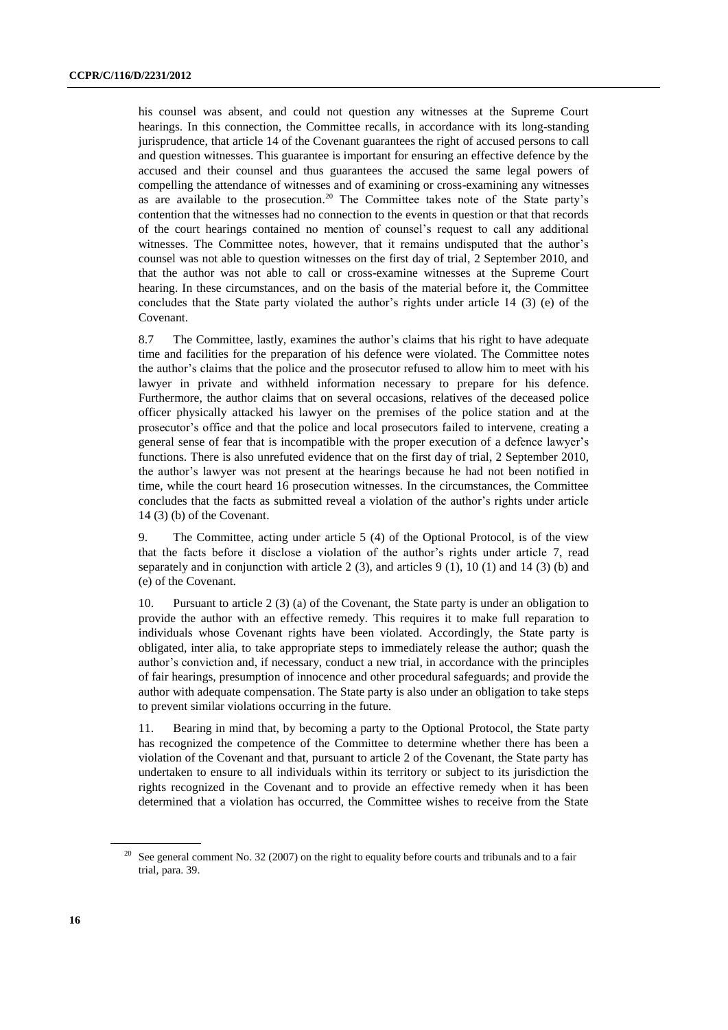his counsel was absent, and could not question any witnesses at the Supreme Court hearings. In this connection, the Committee recalls, in accordance with its long-standing jurisprudence, that article 14 of the Covenant guarantees the right of accused persons to call and question witnesses. This guarantee is important for ensuring an effective defence by the accused and their counsel and thus guarantees the accused the same legal powers of compelling the attendance of witnesses and of examining or cross-examining any witnesses as are available to the prosecution. <sup>20</sup> The Committee takes note of the State party's contention that the witnesses had no connection to the events in question or that that records of the court hearings contained no mention of counsel's request to call any additional witnesses. The Committee notes, however, that it remains undisputed that the author's counsel was not able to question witnesses on the first day of trial, 2 September 2010, and that the author was not able to call or cross-examine witnesses at the Supreme Court hearing. In these circumstances, and on the basis of the material before it, the Committee concludes that the State party violated the author's rights under article 14 (3) (e) of the Covenant.

8.7 The Committee, lastly, examines the author's claims that his right to have adequate time and facilities for the preparation of his defence were violated. The Committee notes the author's claims that the police and the prosecutor refused to allow him to meet with his lawyer in private and withheld information necessary to prepare for his defence. Furthermore, the author claims that on several occasions, relatives of the deceased police officer physically attacked his lawyer on the premises of the police station and at the prosecutor's office and that the police and local prosecutors failed to intervene, creating a general sense of fear that is incompatible with the proper execution of a defence lawyer's functions. There is also unrefuted evidence that on the first day of trial, 2 September 2010, the author's lawyer was not present at the hearings because he had not been notified in time, while the court heard 16 prosecution witnesses. In the circumstances, the Committee concludes that the facts as submitted reveal a violation of the author's rights under article 14 (3) (b) of the Covenant.

9. The Committee, acting under article 5 (4) of the Optional Protocol, is of the view that the facts before it disclose a violation of the author's rights under article 7, read separately and in conjunction with article  $2(3)$ , and articles  $9(1)$ ,  $10(1)$  and  $14(3)$  (b) and (e) of the Covenant.

10. Pursuant to article 2 (3) (a) of the Covenant, the State party is under an obligation to provide the author with an effective remedy. This requires it to make full reparation to individuals whose Covenant rights have been violated. Accordingly, the State party is obligated, inter alia, to take appropriate steps to immediately release the author; quash the author's conviction and, if necessary, conduct a new trial, in accordance with the principles of fair hearings, presumption of innocence and other procedural safeguards; and provide the author with adequate compensation. The State party is also under an obligation to take steps to prevent similar violations occurring in the future.

11. Bearing in mind that, by becoming a party to the Optional Protocol, the State party has recognized the competence of the Committee to determine whether there has been a violation of the Covenant and that, pursuant to article 2 of the Covenant, the State party has undertaken to ensure to all individuals within its territory or subject to its jurisdiction the rights recognized in the Covenant and to provide an effective remedy when it has been determined that a violation has occurred, the Committee wishes to receive from the State

<sup>&</sup>lt;sup>20</sup> See general comment No. 32 (2007) on the right to equality before courts and tribunals and to a fair trial, para. 39.